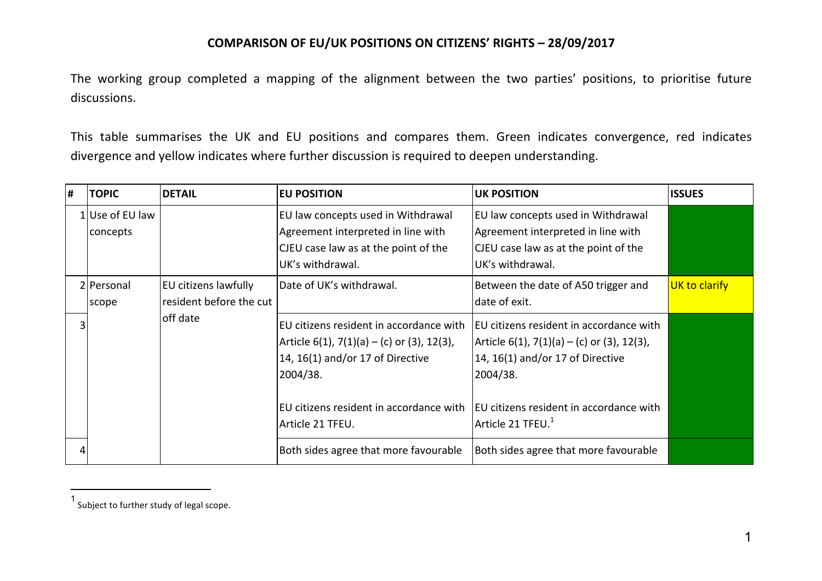The working group completed a mapping of the alignment between the two parties' positions, to prioritise future discussions.

This table summarises the UK and EU positions and compares them. Green indicates convergence, red indicates divergence and yellow indicates where further discussion is required to deepen understanding.

| l# | <b>TOPIC</b>                | <b>DETAIL</b>                                   | <b>EU POSITION</b>                                                                                                                                                                                       | <b>UK POSITION</b>                                                                                                                                                                                                    | <b>ISSUES</b> |
|----|-----------------------------|-------------------------------------------------|----------------------------------------------------------------------------------------------------------------------------------------------------------------------------------------------------------|-----------------------------------------------------------------------------------------------------------------------------------------------------------------------------------------------------------------------|---------------|
|    | 1 Use of EU law<br>concepts |                                                 | EU law concepts used in Withdrawal<br>Agreement interpreted in line with<br>CJEU case law as at the point of the<br>UK's withdrawal.                                                                     | EU law concepts used in Withdrawal<br>Agreement interpreted in line with<br>CJEU case law as at the point of the<br>UK's withdrawal.                                                                                  |               |
|    | 2 Personal<br>scope         | EU citizens lawfully<br>resident before the cut | Date of UK's withdrawal.                                                                                                                                                                                 | Between the date of A50 trigger and<br>date of exit.                                                                                                                                                                  | UK to clarify |
|    |                             | off date                                        | EU citizens resident in accordance with<br>$ $ Article 6(1), 7(1)(a) – (c) or (3), 12(3),<br>14, 16(1) and/or 17 of Directive<br>2004/38.<br>EU citizens resident in accordance with<br>Article 21 TFEU. | EU citizens resident in accordance with<br>$ $ Article 6(1), 7(1)(a) – (c) or (3), 12(3),<br>14, 16(1) and/or 17 of Directive<br>2004/38.<br>EU citizens resident in accordance with<br>Article 21 TFEU. <sup>1</sup> |               |
|    |                             |                                                 | Both sides agree that more favourable                                                                                                                                                                    | Both sides agree that more favourable                                                                                                                                                                                 |               |

l

<sup>1&</sup>lt;br>Subject to further study of legal scope.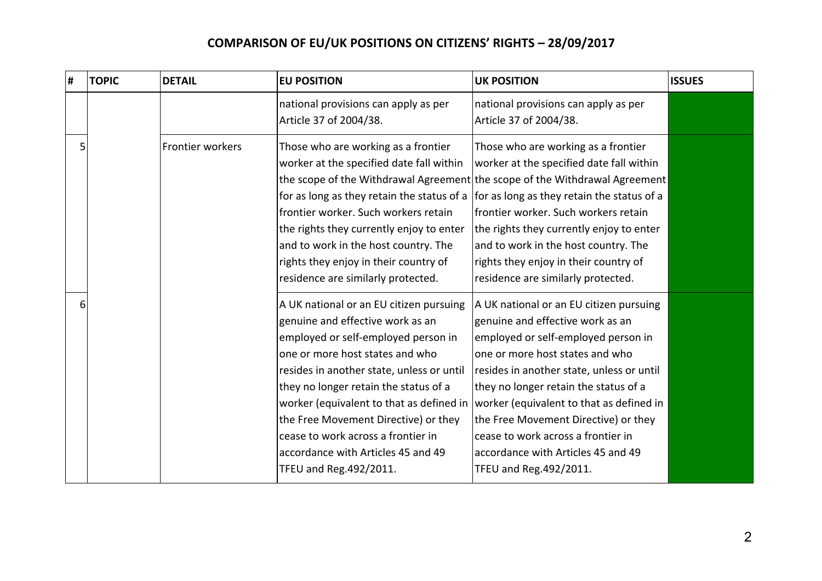| # | <b>TOPIC</b> | <b>DETAIL</b>    | <b>EU POSITION</b>                                                                                                                                                                                                                                                                                                                                                                                                                     | <b>UK POSITION</b>                                                                                                                                                                                                                                                                                                                                                                                                                     | <b>ISSUES</b> |
|---|--------------|------------------|----------------------------------------------------------------------------------------------------------------------------------------------------------------------------------------------------------------------------------------------------------------------------------------------------------------------------------------------------------------------------------------------------------------------------------------|----------------------------------------------------------------------------------------------------------------------------------------------------------------------------------------------------------------------------------------------------------------------------------------------------------------------------------------------------------------------------------------------------------------------------------------|---------------|
|   |              |                  | national provisions can apply as per<br>Article 37 of 2004/38.                                                                                                                                                                                                                                                                                                                                                                         | national provisions can apply as per<br>Article 37 of 2004/38.                                                                                                                                                                                                                                                                                                                                                                         |               |
|   | 5            | Frontier workers | Those who are working as a frontier<br>worker at the specified date fall within<br>for as long as they retain the status of a $ $ for as long as they retain the status of a<br>frontier worker. Such workers retain<br>the rights they currently enjoy to enter<br>and to work in the host country. The<br>rights they enjoy in their country of<br>residence are similarly protected.                                                | Those who are working as a frontier<br>worker at the specified date fall within<br>the scope of the Withdrawal Agreement the scope of the Withdrawal Agreement<br>lfrontier worker. Such workers retain<br>the rights they currently enjoy to enter<br>and to work in the host country. The<br>rights they enjoy in their country of<br>residence are similarly protected.                                                             |               |
|   | 6            |                  | A UK national or an EU citizen pursuing<br>genuine and effective work as an<br>employed or self-employed person in<br>one or more host states and who<br>resides in another state, unless or until<br>they no longer retain the status of a<br>worker (equivalent to that as defined in<br>the Free Movement Directive) or they<br>cease to work across a frontier in<br>accordance with Articles 45 and 49<br>TFEU and Reg. 492/2011. | A UK national or an EU citizen pursuing<br>genuine and effective work as an<br>employed or self-employed person in<br>one or more host states and who<br>resides in another state, unless or until<br>they no longer retain the status of a<br>worker (equivalent to that as defined in<br>the Free Movement Directive) or they<br>cease to work across a frontier in<br>accordance with Articles 45 and 49<br>TFEU and Reg. 492/2011. |               |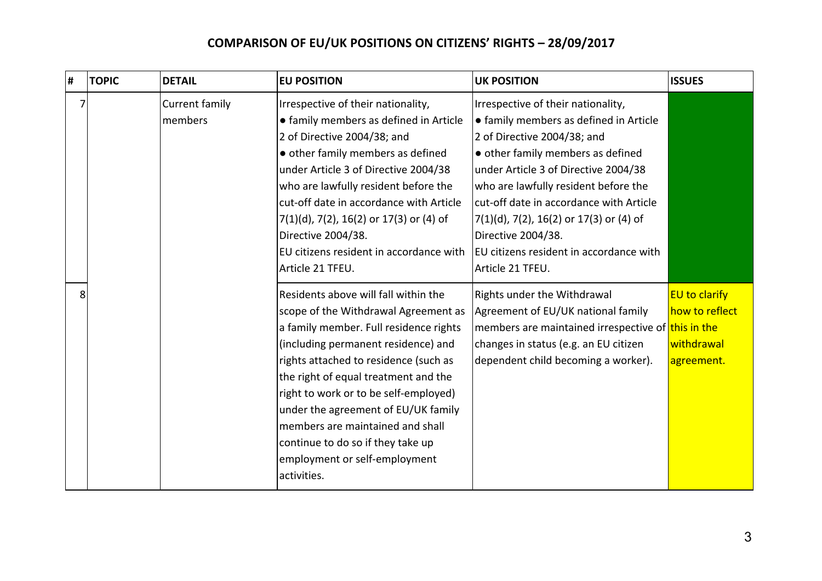| # | <b>TOPIC</b> | <b>DETAIL</b>             | <b>EU POSITION</b>                                                                                                                                                                                                                                                                                                                                                                                                                                      | <b>UK POSITION</b>                                                                                                                                                                                                                                                                                                                                                                                             | <b>ISSUES</b>                                                      |
|---|--------------|---------------------------|---------------------------------------------------------------------------------------------------------------------------------------------------------------------------------------------------------------------------------------------------------------------------------------------------------------------------------------------------------------------------------------------------------------------------------------------------------|----------------------------------------------------------------------------------------------------------------------------------------------------------------------------------------------------------------------------------------------------------------------------------------------------------------------------------------------------------------------------------------------------------------|--------------------------------------------------------------------|
| 7 |              | Current family<br>members | Irrespective of their nationality,<br>• family members as defined in Article<br>2 of Directive 2004/38; and<br>• other family members as defined<br>under Article 3 of Directive 2004/38<br>who are lawfully resident before the<br>cut-off date in accordance with Article<br>$7(1)(d)$ , 7(2), 16(2) or 17(3) or (4) of<br>Directive 2004/38.<br>EU citizens resident in accordance with<br>Article 21 TFEU.                                          | Irrespective of their nationality,<br>• family members as defined in Article<br>2 of Directive 2004/38; and<br>• other family members as defined<br>under Article 3 of Directive 2004/38<br>who are lawfully resident before the<br>cut-off date in accordance with Article<br>$7(1)(d)$ , 7(2), 16(2) or 17(3) or (4) of<br>Directive 2004/38.<br>EU citizens resident in accordance with<br>Article 21 TFEU. |                                                                    |
| 8 |              |                           | Residents above will fall within the<br>scope of the Withdrawal Agreement as<br>a family member. Full residence rights<br>(including permanent residence) and<br>rights attached to residence (such as<br>the right of equal treatment and the<br>right to work or to be self-employed)<br>under the agreement of EU/UK family<br>members are maintained and shall<br>continue to do so if they take up<br>employment or self-employment<br>activities. | Rights under the Withdrawal<br>Agreement of EU/UK national family<br>members are maintained irrespective of this in the<br>changes in status (e.g. an EU citizen<br>dependent child becoming a worker).                                                                                                                                                                                                        | <b>EU to clarify</b><br>how to reflect<br>withdrawal<br>agreement. |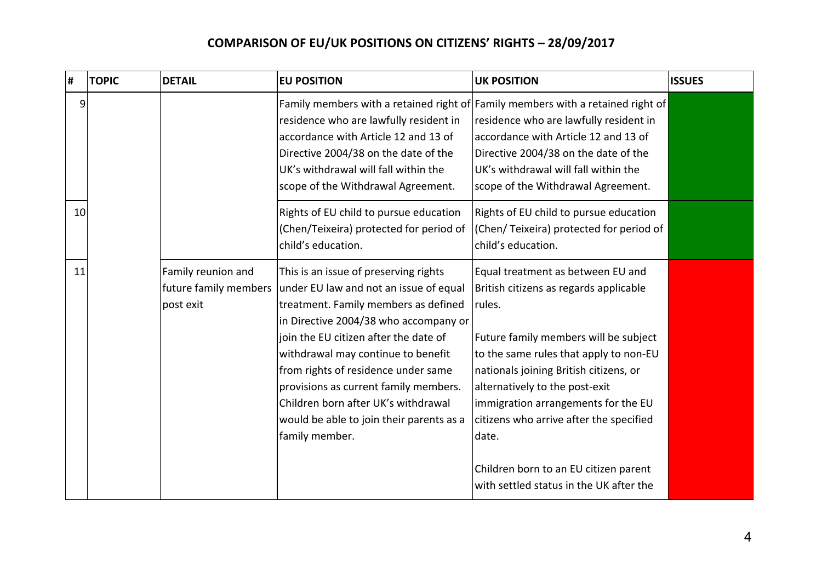| $\pmb{\sharp}$ |    | <b>TOPIC</b> | <b>DETAIL</b>                                            | <b>EU POSITION</b>                                                                                                                                                                                                                                                                                                                                                                                                                   | <b>UK POSITION</b>                                                                                                                                                                                                                                                                                                                                                                                                                  | <b>ISSUES</b> |
|----------------|----|--------------|----------------------------------------------------------|--------------------------------------------------------------------------------------------------------------------------------------------------------------------------------------------------------------------------------------------------------------------------------------------------------------------------------------------------------------------------------------------------------------------------------------|-------------------------------------------------------------------------------------------------------------------------------------------------------------------------------------------------------------------------------------------------------------------------------------------------------------------------------------------------------------------------------------------------------------------------------------|---------------|
|                | 9  |              |                                                          | residence who are lawfully resident in<br>accordance with Article 12 and 13 of<br>Directive 2004/38 on the date of the<br>UK's withdrawal will fall within the<br>scope of the Withdrawal Agreement.                                                                                                                                                                                                                                 | Family members with a retained right of Family members with a retained right of<br>residence who are lawfully resident in<br>accordance with Article 12 and 13 of<br>Directive 2004/38 on the date of the<br>UK's withdrawal will fall within the<br>scope of the Withdrawal Agreement.                                                                                                                                             |               |
|                | 10 |              |                                                          | Rights of EU child to pursue education<br>(Chen/Teixeira) protected for period of<br>child's education.                                                                                                                                                                                                                                                                                                                              | Rights of EU child to pursue education<br>(Chen/Teixeira) protected for period of<br>child's education.                                                                                                                                                                                                                                                                                                                             |               |
|                | 11 |              | Family reunion and<br>future family members<br>post exit | This is an issue of preserving rights<br>under EU law and not an issue of equal<br>treatment. Family members as defined<br>in Directive 2004/38 who accompany or<br>join the EU citizen after the date of<br>withdrawal may continue to benefit<br>from rights of residence under same<br>provisions as current family members.<br>Children born after UK's withdrawal<br>would be able to join their parents as a<br>family member. | Equal treatment as between EU and<br>British citizens as regards applicable<br>rules.<br>Future family members will be subject<br>to the same rules that apply to non-EU<br>nationals joining British citizens, or<br>alternatively to the post-exit<br>immigration arrangements for the EU<br>citizens who arrive after the specified<br>date.<br>Children born to an EU citizen parent<br>with settled status in the UK after the |               |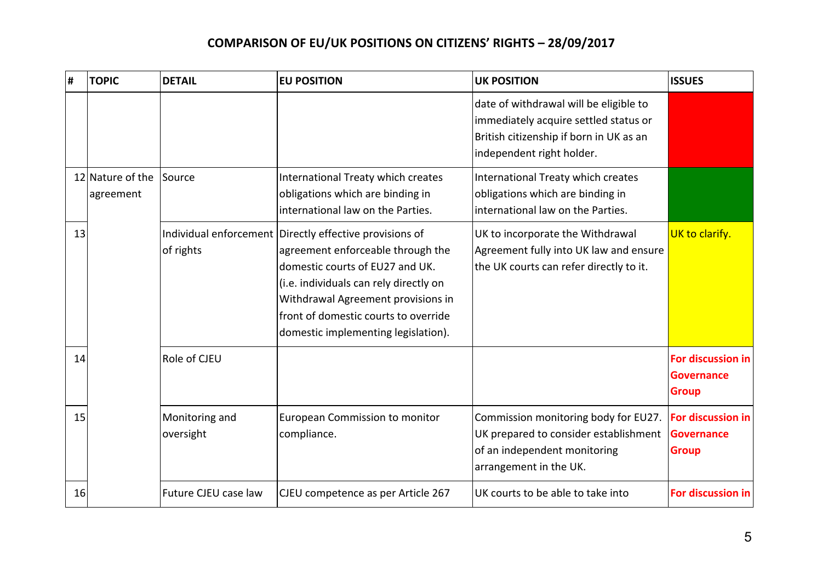| H. | <b>TOPIC</b>                  | <b>DETAIL</b>               | <b>EU POSITION</b>                                                                                                                                                                                                                                                                             | <b>UK POSITION</b>                                                                                                                                      | <b>ISSUES</b>                                          |
|----|-------------------------------|-----------------------------|------------------------------------------------------------------------------------------------------------------------------------------------------------------------------------------------------------------------------------------------------------------------------------------------|---------------------------------------------------------------------------------------------------------------------------------------------------------|--------------------------------------------------------|
|    |                               |                             |                                                                                                                                                                                                                                                                                                | date of withdrawal will be eligible to<br>immediately acquire settled status or<br>British citizenship if born in UK as an<br>independent right holder. |                                                        |
|    | 12 Nature of the<br>agreement | Source                      | International Treaty which creates<br>obligations which are binding in<br>international law on the Parties.                                                                                                                                                                                    | International Treaty which creates<br>obligations which are binding in<br>international law on the Parties.                                             |                                                        |
| 13 |                               | of rights                   | Individual enforcement Directly effective provisions of<br>agreement enforceable through the<br>domestic courts of EU27 and UK.<br>(i.e. individuals can rely directly on<br>Withdrawal Agreement provisions in<br>front of domestic courts to override<br>domestic implementing legislation). | UK to incorporate the Withdrawal<br>Agreement fully into UK law and ensure<br>the UK courts can refer directly to it.                                   | UK to clarify.                                         |
| 14 |                               | Role of CJEU                |                                                                                                                                                                                                                                                                                                |                                                                                                                                                         | For discussion in<br><b>Governance</b><br><b>Group</b> |
| 15 |                               | Monitoring and<br>oversight | European Commission to monitor<br>compliance.                                                                                                                                                                                                                                                  | Commission monitoring body for EU27.<br>UK prepared to consider establishment<br>of an independent monitoring<br>arrangement in the UK.                 | For discussion in<br><b>Governance</b><br><b>Group</b> |
| 16 |                               | Future CJEU case law        | CJEU competence as per Article 267                                                                                                                                                                                                                                                             | UK courts to be able to take into                                                                                                                       | For discussion in                                      |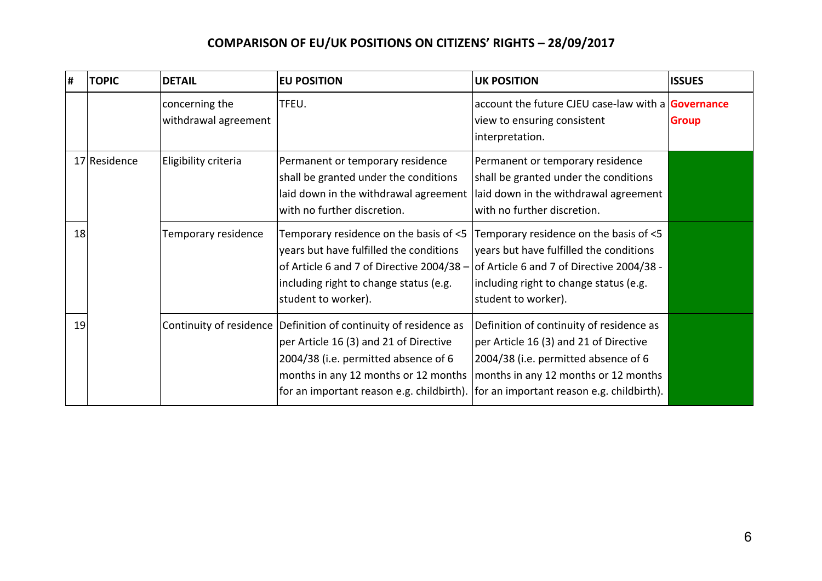| $\#$ | <b>TOPIC</b> | <b>DETAIL</b>                          | <b>EU POSITION</b>                                                                                                                                                                              | <b>UK POSITION</b>                                                                                                                                                                                                                                         | <b>ISSUES</b> |
|------|--------------|----------------------------------------|-------------------------------------------------------------------------------------------------------------------------------------------------------------------------------------------------|------------------------------------------------------------------------------------------------------------------------------------------------------------------------------------------------------------------------------------------------------------|---------------|
|      |              | concerning the<br>withdrawal agreement | TFEU.                                                                                                                                                                                           | account the future CJEU case-law with a Governance<br>view to ensuring consistent<br>interpretation.                                                                                                                                                       | <b>Group</b>  |
|      | 17 Residence | Eligibility criteria                   | Permanent or temporary residence<br>shall be granted under the conditions<br>laid down in the withdrawal agreement<br>with no further discretion.                                               | Permanent or temporary residence<br>shall be granted under the conditions<br>laid down in the withdrawal agreement<br>with no further discretion.                                                                                                          |               |
| 18   |              | Temporary residence                    | Temporary residence on the basis of <5<br>years but have fulfilled the conditions<br>of Article 6 and 7 of Directive 2004/38 -<br>including right to change status (e.g.<br>student to worker). | Temporary residence on the basis of <5<br>years but have fulfilled the conditions<br>of Article 6 and 7 of Directive 2004/38 -<br>including right to change status (e.g.<br>student to worker).                                                            |               |
| 19   |              | Continuity of residence                | Definition of continuity of residence as<br>per Article 16 (3) and 21 of Directive<br>2004/38 (i.e. permitted absence of 6<br>months in any 12 months or 12 months                              | Definition of continuity of residence as<br>per Article 16 (3) and 21 of Directive<br>2004/38 (i.e. permitted absence of 6<br>months in any 12 months or 12 months<br>for an important reason e.g. childbirth). [for an important reason e.g. childbirth). |               |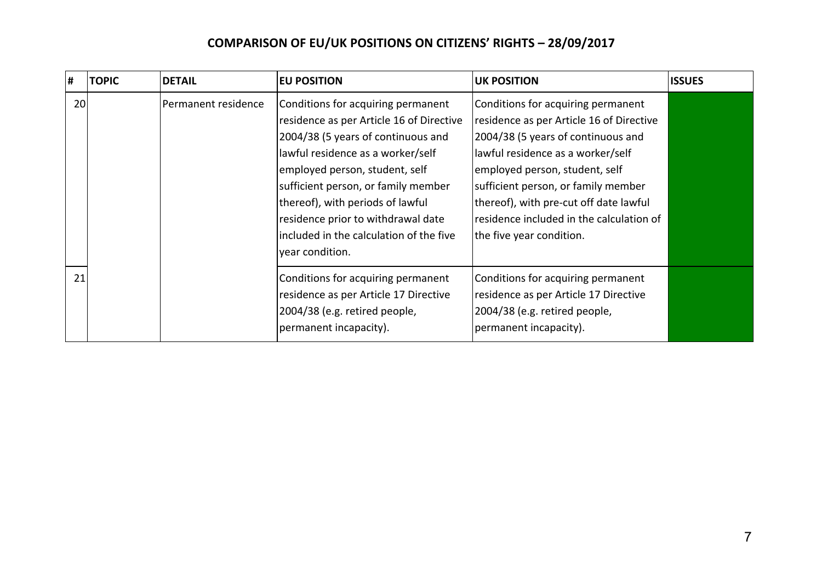| Ħ, | <b>TOPIC</b> | <b>DETAIL</b>       | <b>EU POSITION</b>                                                                                                                                                                                                                                                                                                                                                         | <b>UK POSITION</b>                                                                                                                                                                                                                                                                                                                                   | <b>ISSUES</b> |
|----|--------------|---------------------|----------------------------------------------------------------------------------------------------------------------------------------------------------------------------------------------------------------------------------------------------------------------------------------------------------------------------------------------------------------------------|------------------------------------------------------------------------------------------------------------------------------------------------------------------------------------------------------------------------------------------------------------------------------------------------------------------------------------------------------|---------------|
| 20 |              | Permanent residence | Conditions for acquiring permanent<br>residence as per Article 16 of Directive<br>2004/38 (5 years of continuous and<br>lawful residence as a worker/self<br>employed person, student, self<br>sufficient person, or family member<br>thereof), with periods of lawful<br>residence prior to withdrawal date<br>included in the calculation of the five<br>year condition. | Conditions for acquiring permanent<br>residence as per Article 16 of Directive<br>2004/38 (5 years of continuous and<br>lawful residence as a worker/self<br>employed person, student, self<br>sufficient person, or family member<br>thereof), with pre-cut off date lawful<br>residence included in the calculation of<br>the five year condition. |               |
| 21 |              |                     | Conditions for acquiring permanent<br>residence as per Article 17 Directive<br>2004/38 (e.g. retired people,<br>permanent incapacity).                                                                                                                                                                                                                                     | Conditions for acquiring permanent<br>residence as per Article 17 Directive<br>2004/38 (e.g. retired people,<br>permanent incapacity).                                                                                                                                                                                                               |               |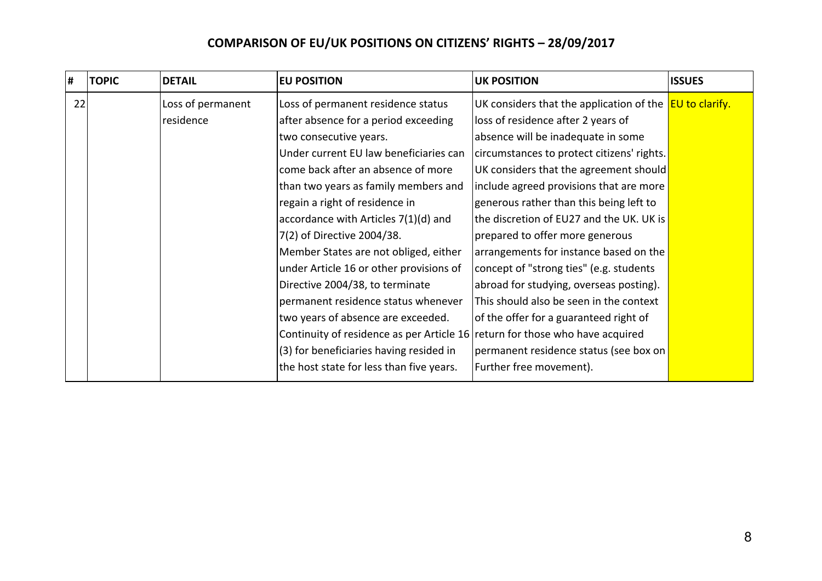| l# | <b>TOPIC</b> | <b>DETAIL</b>                  | <b>EU POSITION</b>                                                                                                                                                                                                                                                                                                                                                                                    | <b>UK POSITION</b>                                                                                                                                                                                                                                                                                                                                                   | <b>ISSUES</b> |
|----|--------------|--------------------------------|-------------------------------------------------------------------------------------------------------------------------------------------------------------------------------------------------------------------------------------------------------------------------------------------------------------------------------------------------------------------------------------------------------|----------------------------------------------------------------------------------------------------------------------------------------------------------------------------------------------------------------------------------------------------------------------------------------------------------------------------------------------------------------------|---------------|
| 22 |              | Loss of permanent<br>residence | Loss of permanent residence status<br>after absence for a period exceeding<br>two consecutive years.<br>Under current EU law beneficiaries can<br>come back after an absence of more<br>than two years as family members and<br>regain a right of residence in<br>accordance with Articles 7(1)(d) and                                                                                                | UK considers that the application of the <b>EU to clarify.</b><br>loss of residence after 2 years of<br>absence will be inadequate in some<br>circumstances to protect citizens' rights.<br>UK considers that the agreement should<br>include agreed provisions that are more<br>generous rather than this being left to<br>the discretion of EU27 and the UK. UK is |               |
|    |              |                                | 7(2) of Directive 2004/38.<br>Member States are not obliged, either<br>under Article 16 or other provisions of<br>Directive 2004/38, to terminate<br>permanent residence status whenever<br>two years of absence are exceeded.<br>Continuity of residence as per Article 16 return for those who have acquired<br>(3) for beneficiaries having resided in<br>the host state for less than five years. | prepared to offer more generous<br>arrangements for instance based on the<br>concept of "strong ties" (e.g. students<br>abroad for studying, overseas posting).<br>This should also be seen in the context<br>of the offer for a guaranteed right of<br>permanent residence status (see box on<br>Further free movement).                                            |               |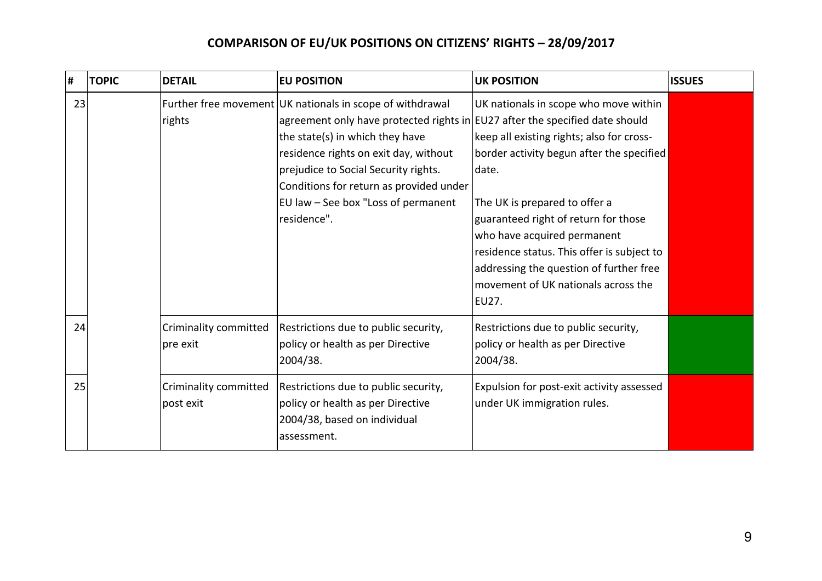| # |    | <b>TOPIC</b> | <b>DETAIL</b>                      | <b>EU POSITION</b>                                                                                                                                                                                                                                                                                                                                               | <b>UK POSITION</b>                                                                                                                                                                                                                                                                                                                                                                        | <b>ISSUES</b> |
|---|----|--------------|------------------------------------|------------------------------------------------------------------------------------------------------------------------------------------------------------------------------------------------------------------------------------------------------------------------------------------------------------------------------------------------------------------|-------------------------------------------------------------------------------------------------------------------------------------------------------------------------------------------------------------------------------------------------------------------------------------------------------------------------------------------------------------------------------------------|---------------|
|   | 23 |              | rights                             | Further free movement UK nationals in scope of withdrawal<br>agreement only have protected rights in $EU27$ after the specified date should<br>the state(s) in which they have<br>residence rights on exit day, without<br>prejudice to Social Security rights.<br>Conditions for return as provided under<br>EU law - See box "Loss of permanent<br>residence". | UK nationals in scope who move within<br>keep all existing rights; also for cross-<br>border activity begun after the specified<br>date.<br>The UK is prepared to offer a<br>guaranteed right of return for those<br>who have acquired permanent<br>residence status. This offer is subject to<br>addressing the question of further free<br>movement of UK nationals across the<br>EU27. |               |
|   | 24 |              | Criminality committed<br>pre exit  | Restrictions due to public security,<br>policy or health as per Directive<br>2004/38.                                                                                                                                                                                                                                                                            | Restrictions due to public security,<br>policy or health as per Directive<br>2004/38.                                                                                                                                                                                                                                                                                                     |               |
|   | 25 |              | Criminality committed<br>post exit | Restrictions due to public security,<br>policy or health as per Directive<br>2004/38, based on individual<br>assessment.                                                                                                                                                                                                                                         | Expulsion for post-exit activity assessed<br>under UK immigration rules.                                                                                                                                                                                                                                                                                                                  |               |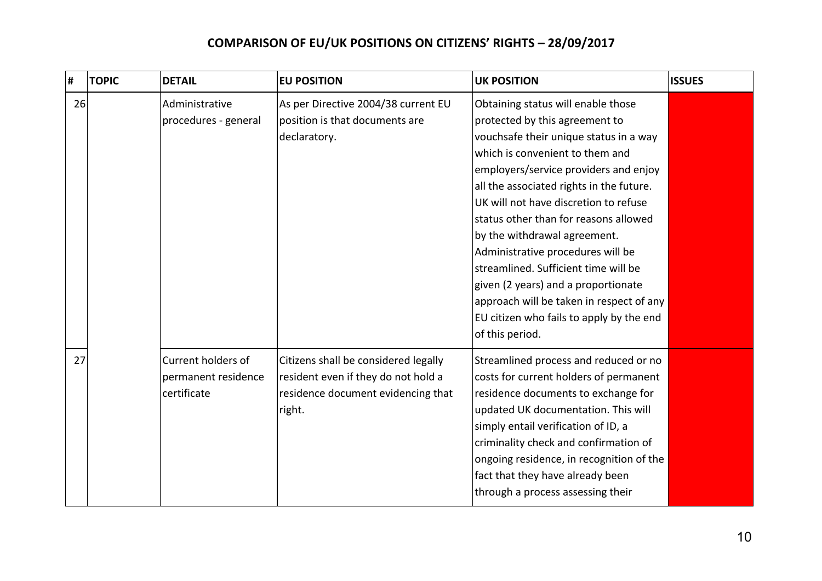| Ħ, | <b>TOPIC</b> | <b>DETAIL</b>                                            | <b>EU POSITION</b>                                                                                                          | <b>UK POSITION</b>                                                                                                                                                                                                                                                                                                                                                                                                                                                                                                                                                                      | <b>ISSUES</b> |
|----|--------------|----------------------------------------------------------|-----------------------------------------------------------------------------------------------------------------------------|-----------------------------------------------------------------------------------------------------------------------------------------------------------------------------------------------------------------------------------------------------------------------------------------------------------------------------------------------------------------------------------------------------------------------------------------------------------------------------------------------------------------------------------------------------------------------------------------|---------------|
| 26 |              | Administrative<br>procedures - general                   | As per Directive 2004/38 current EU<br>position is that documents are<br>declaratory.                                       | Obtaining status will enable those<br>protected by this agreement to<br>vouchsafe their unique status in a way<br>which is convenient to them and<br>employers/service providers and enjoy<br>all the associated rights in the future.<br>UK will not have discretion to refuse<br>status other than for reasons allowed<br>by the withdrawal agreement.<br>Administrative procedures will be<br>streamlined. Sufficient time will be<br>given (2 years) and a proportionate<br>approach will be taken in respect of any<br>EU citizen who fails to apply by the end<br>of this period. |               |
| 27 |              | Current holders of<br>permanent residence<br>certificate | Citizens shall be considered legally<br>resident even if they do not hold a<br>residence document evidencing that<br>right. | Streamlined process and reduced or no<br>costs for current holders of permanent<br>residence documents to exchange for<br>updated UK documentation. This will<br>simply entail verification of ID, a<br>criminality check and confirmation of<br>ongoing residence, in recognition of the<br>fact that they have already been<br>through a process assessing their                                                                                                                                                                                                                      |               |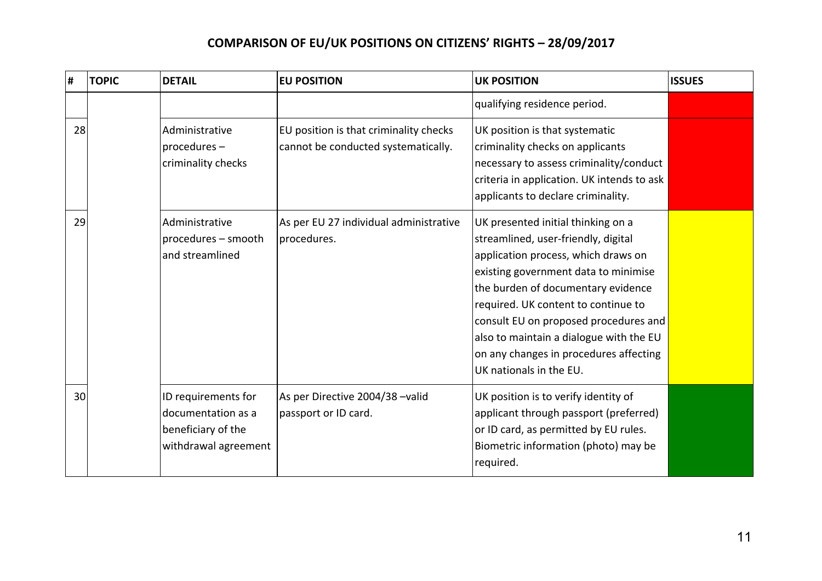| # |    | <b>TOPIC</b> | <b>DETAIL</b>                                                                           | <b>EU POSITION</b>                                                            | <b>UK POSITION</b>                                                                                                                                                                                                                                                                                                                                                                             | <b>ISSUES</b> |
|---|----|--------------|-----------------------------------------------------------------------------------------|-------------------------------------------------------------------------------|------------------------------------------------------------------------------------------------------------------------------------------------------------------------------------------------------------------------------------------------------------------------------------------------------------------------------------------------------------------------------------------------|---------------|
|   |    |              |                                                                                         |                                                                               | qualifying residence period.                                                                                                                                                                                                                                                                                                                                                                   |               |
|   | 28 |              | Administrative<br>procedures-<br>criminality checks                                     | EU position is that criminality checks<br>cannot be conducted systematically. | UK position is that systematic<br>criminality checks on applicants<br>necessary to assess criminality/conduct<br>criteria in application. UK intends to ask<br>applicants to declare criminality.                                                                                                                                                                                              |               |
|   | 29 |              | Administrative<br>procedures - smooth<br>and streamlined                                | As per EU 27 individual administrative<br>procedures.                         | UK presented initial thinking on a<br>streamlined, user-friendly, digital<br>application process, which draws on<br>existing government data to minimise<br>the burden of documentary evidence<br>required. UK content to continue to<br>consult EU on proposed procedures and<br>also to maintain a dialogue with the EU<br>on any changes in procedures affecting<br>UK nationals in the EU. |               |
|   | 30 |              | ID requirements for<br>documentation as a<br>beneficiary of the<br>withdrawal agreement | As per Directive 2004/38 -valid<br>passport or ID card.                       | UK position is to verify identity of<br>applicant through passport (preferred)<br>or ID card, as permitted by EU rules.<br>Biometric information (photo) may be<br>required.                                                                                                                                                                                                                   |               |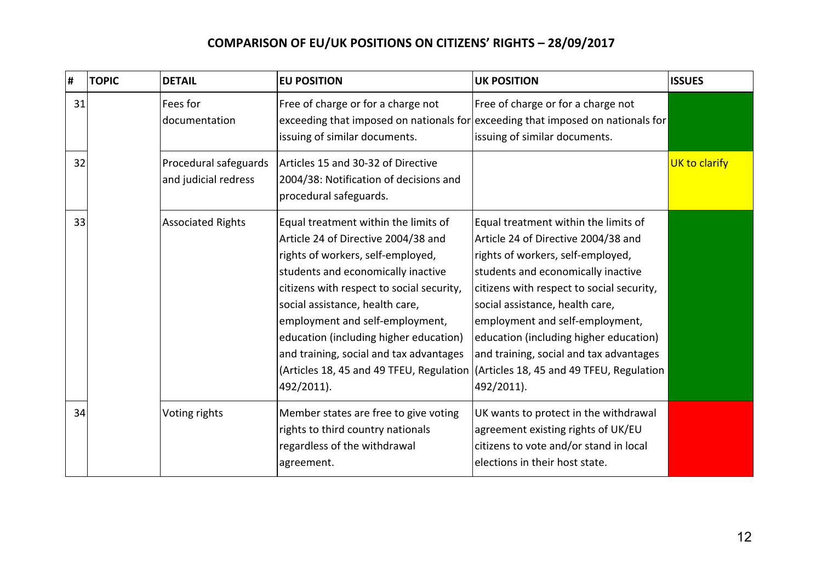| #  | <b>TOPIC</b> | <b>DETAIL</b>                                 | <b>EU POSITION</b>                                                                                                                                                                                                                                                                                                                                                                                                       | <b>UK POSITION</b>                                                                                                                                                                                                                                                                                                                                                                                                       | <b>ISSUES</b> |
|----|--------------|-----------------------------------------------|--------------------------------------------------------------------------------------------------------------------------------------------------------------------------------------------------------------------------------------------------------------------------------------------------------------------------------------------------------------------------------------------------------------------------|--------------------------------------------------------------------------------------------------------------------------------------------------------------------------------------------------------------------------------------------------------------------------------------------------------------------------------------------------------------------------------------------------------------------------|---------------|
| 31 |              | Fees for<br>documentation                     | Free of charge or for a charge not<br>issuing of similar documents.                                                                                                                                                                                                                                                                                                                                                      | Free of charge or for a charge not<br>exceeding that imposed on nationals for exceeding that imposed on nationals for<br>issuing of similar documents.                                                                                                                                                                                                                                                                   |               |
| 32 |              | Procedural safeguards<br>and judicial redress | Articles 15 and 30-32 of Directive<br>2004/38: Notification of decisions and<br>procedural safeguards.                                                                                                                                                                                                                                                                                                                   |                                                                                                                                                                                                                                                                                                                                                                                                                          | UK to clarify |
| 33 |              | <b>Associated Rights</b>                      | Equal treatment within the limits of<br>Article 24 of Directive 2004/38 and<br>rights of workers, self-employed,<br>students and economically inactive<br>citizens with respect to social security,<br>social assistance, health care,<br>employment and self-employment,<br>education (including higher education)<br>and training, social and tax advantages<br>(Articles 18, 45 and 49 TFEU, Regulation<br>492/2011). | Equal treatment within the limits of<br>Article 24 of Directive 2004/38 and<br>rights of workers, self-employed,<br>students and economically inactive<br>citizens with respect to social security,<br>social assistance, health care,<br>employment and self-employment,<br>education (including higher education)<br>and training, social and tax advantages<br>(Articles 18, 45 and 49 TFEU, Regulation<br>492/2011). |               |
| 34 |              | Voting rights                                 | Member states are free to give voting<br>rights to third country nationals<br>regardless of the withdrawal<br>agreement.                                                                                                                                                                                                                                                                                                 | UK wants to protect in the withdrawal<br>agreement existing rights of UK/EU<br>citizens to vote and/or stand in local<br>elections in their host state.                                                                                                                                                                                                                                                                  |               |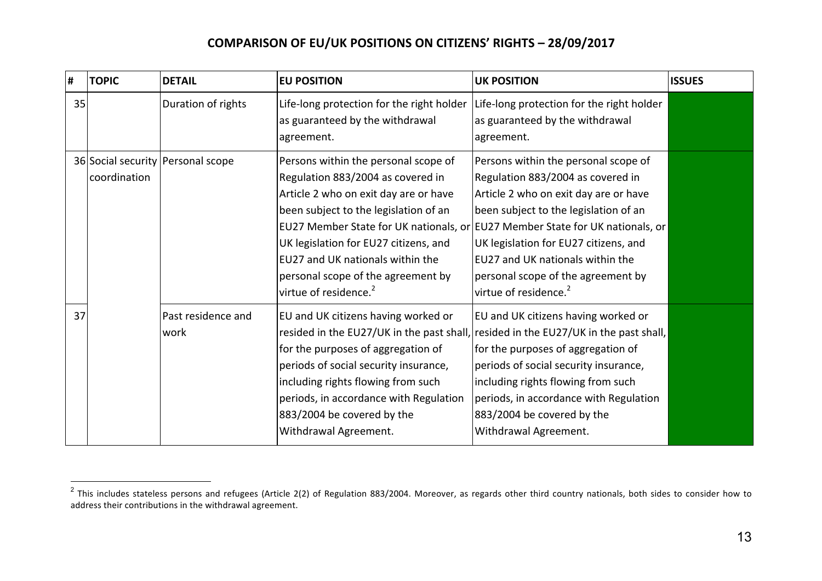| #  | <b>TOPIC</b> | <b>DETAIL</b>                       | <b>EU POSITION</b>                                                                                                                                                                                                                                                                                                  | <b>UK POSITION</b>                                                                                                                                                                                                                                                                                                                                                                                   | <b>ISSUES</b> |
|----|--------------|-------------------------------------|---------------------------------------------------------------------------------------------------------------------------------------------------------------------------------------------------------------------------------------------------------------------------------------------------------------------|------------------------------------------------------------------------------------------------------------------------------------------------------------------------------------------------------------------------------------------------------------------------------------------------------------------------------------------------------------------------------------------------------|---------------|
| 35 |              | Duration of rights                  | Life-long protection for the right holder<br>as guaranteed by the withdrawal<br>agreement.                                                                                                                                                                                                                          | Life-long protection for the right holder<br>as guaranteed by the withdrawal<br>agreement.                                                                                                                                                                                                                                                                                                           |               |
|    | coordination | 36 Social security   Personal scope | Persons within the personal scope of<br>Regulation 883/2004 as covered in<br>Article 2 who on exit day are or have<br>been subject to the legislation of an<br>UK legislation for EU27 citizens, and<br>EU27 and UK nationals within the<br>personal scope of the agreement by<br>virtue of residence. <sup>2</sup> | Persons within the personal scope of<br>Regulation 883/2004 as covered in<br>Article 2 who on exit day are or have<br>been subject to the legislation of an<br>EU27 Member State for UK nationals, or EU27 Member State for UK nationals, or<br>UK legislation for EU27 citizens, and<br>EU27 and UK nationals within the<br>personal scope of the agreement by<br>virtue of residence. <sup>2</sup> |               |
| 37 |              | Past residence and<br>work          | EU and UK citizens having worked or<br>for the purposes of aggregation of<br>periods of social security insurance,<br>including rights flowing from such<br>periods, in accordance with Regulation<br>883/2004 be covered by the<br>Withdrawal Agreement.                                                           | EU and UK citizens having worked or<br>resided in the EU27/UK in the past shall, resided in the EU27/UK in the past shall,<br>for the purposes of aggregation of<br>periods of social security insurance,<br>including rights flowing from such<br>periods, in accordance with Regulation<br>883/2004 be covered by the<br>Withdrawal Agreement.                                                     |               |

 $\overline{a}$ 

 $^2$  This includes stateless persons and refugees (Article 2(2) of Regulation 883/2004. Moreover, as regards other third country nationals, both sides to consider how to address their contributions in the withdrawal agreement.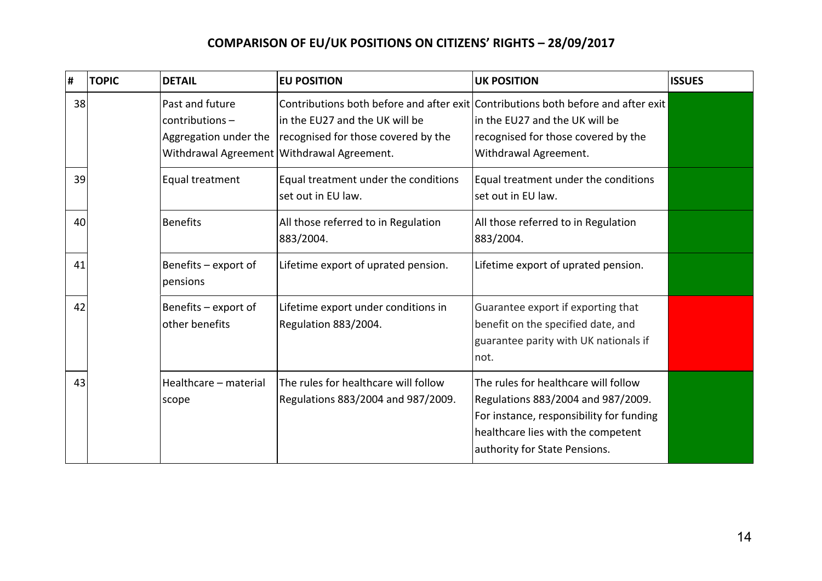| #  | <b>TOPIC</b> | <b>DETAIL</b>                                               | <b>EU POSITION</b>                                                                                                  | <b>UK POSITION</b>                                                                                                                                                                            | <b>ISSUES</b> |
|----|--------------|-------------------------------------------------------------|---------------------------------------------------------------------------------------------------------------------|-----------------------------------------------------------------------------------------------------------------------------------------------------------------------------------------------|---------------|
| 38 |              | Past and future<br>contributions -<br>Aggregation under the | in the EU27 and the UK will be<br>recognised for those covered by the<br>Withdrawal Agreement Withdrawal Agreement. | Contributions both before and after exit Contributions both before and after exit<br>in the EU27 and the UK will be<br>recognised for those covered by the<br>Withdrawal Agreement.           |               |
| 39 |              | Equal treatment                                             | Equal treatment under the conditions<br>set out in EU law.                                                          | Equal treatment under the conditions<br>set out in EU law.                                                                                                                                    |               |
| 40 |              | Benefits                                                    | All those referred to in Regulation<br>883/2004.                                                                    | All those referred to in Regulation<br>883/2004.                                                                                                                                              |               |
| 41 |              | Benefits – export of<br>pensions                            | Lifetime export of uprated pension.                                                                                 | Lifetime export of uprated pension.                                                                                                                                                           |               |
| 42 |              | Benefits - export of<br>other benefits                      | Lifetime export under conditions in<br>Regulation 883/2004.                                                         | Guarantee export if exporting that<br>benefit on the specified date, and<br>guarantee parity with UK nationals if<br>not.                                                                     |               |
| 43 |              | Healthcare - material<br>scope                              | The rules for healthcare will follow<br>Regulations 883/2004 and 987/2009.                                          | The rules for healthcare will follow<br>Regulations 883/2004 and 987/2009.<br>For instance, responsibility for funding<br>healthcare lies with the competent<br>authority for State Pensions. |               |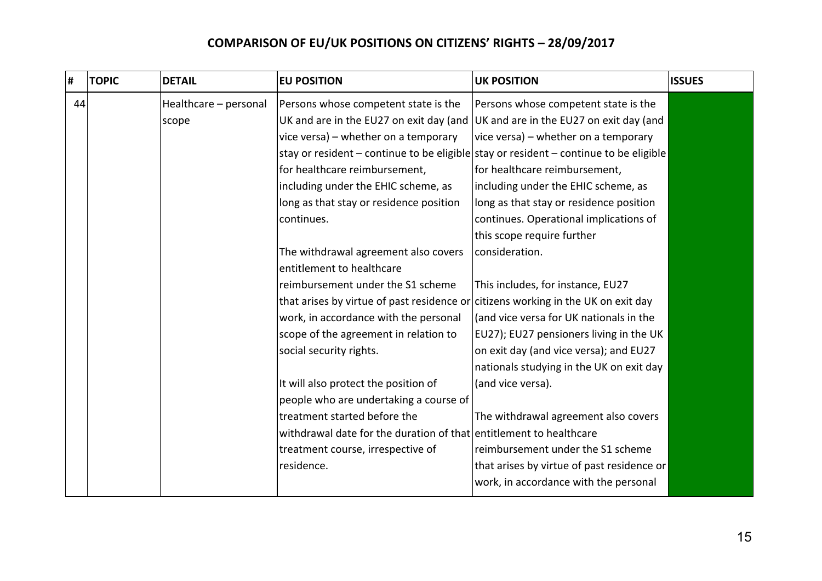| #  | <b>TOPIC</b> | <b>DETAIL</b>         | <b>EU POSITION</b>                                                                | <b>UK POSITION</b>                                                                    | <b>ISSUES</b> |
|----|--------------|-----------------------|-----------------------------------------------------------------------------------|---------------------------------------------------------------------------------------|---------------|
| 44 |              | Healthcare - personal | Persons whose competent state is the                                              | Persons whose competent state is the                                                  |               |
|    |              | scope                 | UK and are in the EU27 on exit day (and                                           | UK and are in the EU27 on exit day (and                                               |               |
|    |              |                       | vice versa) - whether on a temporary                                              | vice versa) – whether on a temporary                                                  |               |
|    |              |                       |                                                                                   | stay or resident – continue to be eligible stay or resident – continue to be eligible |               |
|    |              |                       | for healthcare reimbursement,                                                     | for healthcare reimbursement,                                                         |               |
|    |              |                       | including under the EHIC scheme, as                                               | including under the EHIC scheme, as                                                   |               |
|    |              |                       | long as that stay or residence position                                           | long as that stay or residence position                                               |               |
|    |              |                       | continues.                                                                        | continues. Operational implications of                                                |               |
|    |              |                       |                                                                                   | this scope require further                                                            |               |
|    |              |                       | The withdrawal agreement also covers                                              | consideration.                                                                        |               |
|    |              |                       | entitlement to healthcare                                                         |                                                                                       |               |
|    |              |                       | reimbursement under the S1 scheme                                                 | This includes, for instance, EU27                                                     |               |
|    |              |                       | that arises by virtue of past residence or citizens working in the UK on exit day |                                                                                       |               |
|    |              |                       | work, in accordance with the personal                                             | (and vice versa for UK nationals in the                                               |               |
|    |              |                       | scope of the agreement in relation to                                             | EU27); EU27 pensioners living in the UK                                               |               |
|    |              |                       | social security rights.                                                           | on exit day (and vice versa); and EU27                                                |               |
|    |              |                       |                                                                                   | nationals studying in the UK on exit day                                              |               |
|    |              |                       | It will also protect the position of                                              | (and vice versa).                                                                     |               |
|    |              |                       | people who are undertaking a course of                                            |                                                                                       |               |
|    |              |                       | treatment started before the                                                      | The withdrawal agreement also covers                                                  |               |
|    |              |                       | withdrawal date for the duration of that entitlement to healthcare                |                                                                                       |               |
|    |              |                       | treatment course, irrespective of                                                 | reimbursement under the S1 scheme                                                     |               |
|    |              |                       | residence.                                                                        | that arises by virtue of past residence or                                            |               |
|    |              |                       |                                                                                   | work, in accordance with the personal                                                 |               |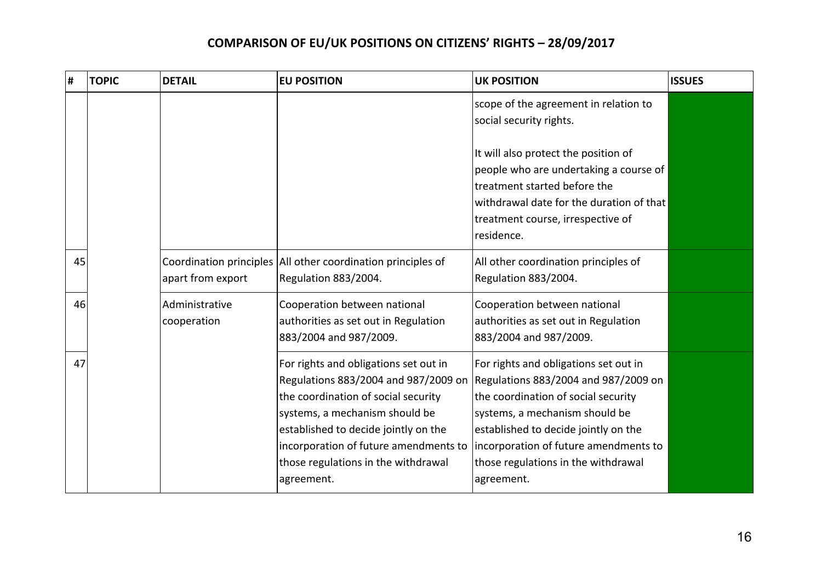| #  | <b>TOPIC</b> | <b>DETAIL</b>                 | <b>EU POSITION</b>                                                                                                                                                                                                                                                                           | <b>UK POSITION</b>                                                                                                                                                                                                                                                                           | <b>ISSUES</b> |
|----|--------------|-------------------------------|----------------------------------------------------------------------------------------------------------------------------------------------------------------------------------------------------------------------------------------------------------------------------------------------|----------------------------------------------------------------------------------------------------------------------------------------------------------------------------------------------------------------------------------------------------------------------------------------------|---------------|
|    |              |                               |                                                                                                                                                                                                                                                                                              | scope of the agreement in relation to<br>social security rights.                                                                                                                                                                                                                             |               |
|    |              |                               |                                                                                                                                                                                                                                                                                              | It will also protect the position of<br>people who are undertaking a course of<br>treatment started before the<br>withdrawal date for the duration of that<br>treatment course, irrespective of<br>residence.                                                                                |               |
| 45 |              | apart from export             | Coordination principles All other coordination principles of<br>Regulation 883/2004.                                                                                                                                                                                                         | All other coordination principles of<br>Regulation 883/2004.                                                                                                                                                                                                                                 |               |
| 46 |              | Administrative<br>cooperation | Cooperation between national<br>authorities as set out in Regulation<br>883/2004 and 987/2009.                                                                                                                                                                                               | Cooperation between national<br>authorities as set out in Regulation<br>883/2004 and 987/2009.                                                                                                                                                                                               |               |
| 47 |              |                               | For rights and obligations set out in<br>Regulations 883/2004 and 987/2009 on<br>the coordination of social security<br>systems, a mechanism should be<br>established to decide jointly on the<br>incorporation of future amendments to<br>those regulations in the withdrawal<br>agreement. | For rights and obligations set out in<br>Regulations 883/2004 and 987/2009 on<br>the coordination of social security<br>systems, a mechanism should be<br>established to decide jointly on the<br>incorporation of future amendments to<br>those regulations in the withdrawal<br>agreement. |               |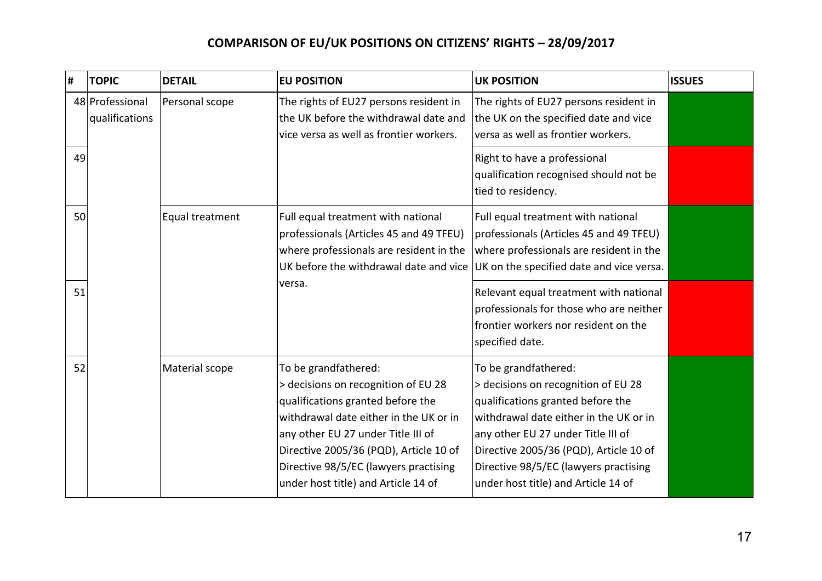| #  | <b>TOPIC</b>                      | <b>DETAIL</b>   | <b>EU POSITION</b>                                                                                                                                                                                                                                                                                         | <b>UK POSITION</b>                                                                                                                                                                                                                                                                                         | <b>ISSUES</b> |
|----|-----------------------------------|-----------------|------------------------------------------------------------------------------------------------------------------------------------------------------------------------------------------------------------------------------------------------------------------------------------------------------------|------------------------------------------------------------------------------------------------------------------------------------------------------------------------------------------------------------------------------------------------------------------------------------------------------------|---------------|
|    | 48 Professional<br>qualifications | Personal scope  | The rights of EU27 persons resident in<br>the UK before the withdrawal date and<br>vice versa as well as frontier workers.                                                                                                                                                                                 | The rights of EU27 persons resident in<br>the UK on the specified date and vice<br>versa as well as frontier workers.                                                                                                                                                                                      |               |
| 49 |                                   |                 |                                                                                                                                                                                                                                                                                                            | Right to have a professional<br>qualification recognised should not be<br>tied to residency.                                                                                                                                                                                                               |               |
| 50 |                                   | Equal treatment | Full equal treatment with national<br>professionals (Articles 45 and 49 TFEU)<br>where professionals are resident in the<br>UK before the withdrawal date and vice                                                                                                                                         | Full equal treatment with national<br>professionals (Articles 45 and 49 TFEU)<br>where professionals are resident in the<br>UK on the specified date and vice versa.                                                                                                                                       |               |
| 51 |                                   |                 | versa.                                                                                                                                                                                                                                                                                                     | Relevant equal treatment with national<br>professionals for those who are neither<br>frontier workers nor resident on the<br>specified date.                                                                                                                                                               |               |
| 52 |                                   | Material scope  | To be grandfathered:<br>> decisions on recognition of EU 28<br>qualifications granted before the<br>withdrawal date either in the UK or in<br>any other EU 27 under Title III of<br>Directive 2005/36 (PQD), Article 10 of<br>Directive 98/5/EC (lawyers practising<br>under host title) and Article 14 of | To be grandfathered:<br>> decisions on recognition of EU 28<br>qualifications granted before the<br>withdrawal date either in the UK or in<br>any other EU 27 under Title III of<br>Directive 2005/36 (PQD), Article 10 of<br>Directive 98/5/EC (lawyers practising<br>under host title) and Article 14 of |               |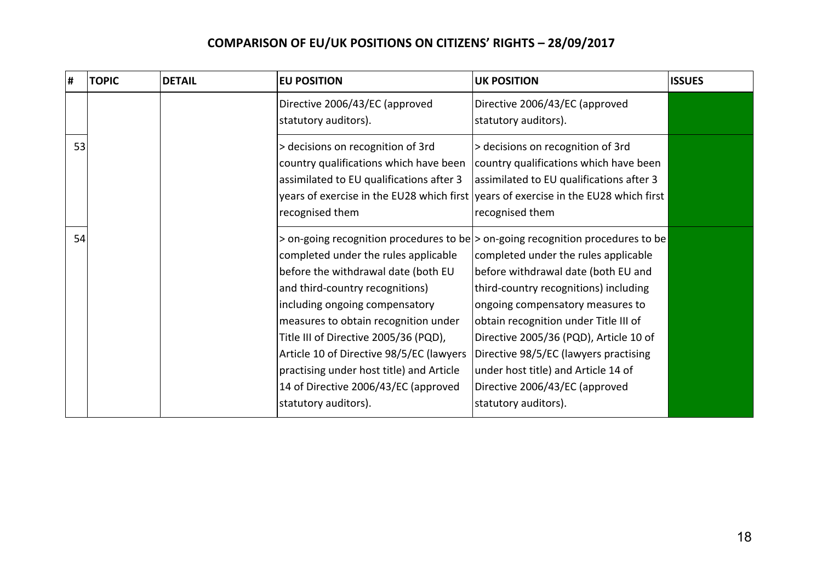| Ħ, | <b>TOPIC</b> | <b>DETAIL</b> | <b>EU POSITION</b>                                                                                                                                                                                                                                                                                                                                                                        | <b>UK POSITION</b>                                                                                                                                                                                                                                                                                                                                                                                                                                                           | <b>ISSUES</b> |
|----|--------------|---------------|-------------------------------------------------------------------------------------------------------------------------------------------------------------------------------------------------------------------------------------------------------------------------------------------------------------------------------------------------------------------------------------------|------------------------------------------------------------------------------------------------------------------------------------------------------------------------------------------------------------------------------------------------------------------------------------------------------------------------------------------------------------------------------------------------------------------------------------------------------------------------------|---------------|
|    |              |               | Directive 2006/43/EC (approved<br>statutory auditors).                                                                                                                                                                                                                                                                                                                                    | Directive 2006/43/EC (approved<br>statutory auditors).                                                                                                                                                                                                                                                                                                                                                                                                                       |               |
| 53 |              |               | > decisions on recognition of 3rd<br>country qualifications which have been<br>assimilated to EU qualifications after 3<br>years of exercise in the EU28 which first<br>recognised them                                                                                                                                                                                                   | > decisions on recognition of 3rd<br>country qualifications which have been<br>assimilated to EU qualifications after 3<br>years of exercise in the EU28 which first<br>recognised them                                                                                                                                                                                                                                                                                      |               |
| 54 |              |               | completed under the rules applicable<br>before the withdrawal date (both EU<br>and third-country recognitions)<br>including ongoing compensatory<br>measures to obtain recognition under<br>Title III of Directive 2005/36 (PQD),<br>Article 10 of Directive 98/5/EC (lawyers<br>practising under host title) and Article<br>14 of Directive 2006/43/EC (approved<br>statutory auditors). | $>$ on-going recognition procedures to be $>$ on-going recognition procedures to be<br>completed under the rules applicable<br>before withdrawal date (both EU and<br>third-country recognitions) including<br>ongoing compensatory measures to<br>obtain recognition under Title III of<br>Directive 2005/36 (PQD), Article 10 of<br>Directive 98/5/EC (lawyers practising<br>under host title) and Article 14 of<br>Directive 2006/43/EC (approved<br>statutory auditors). |               |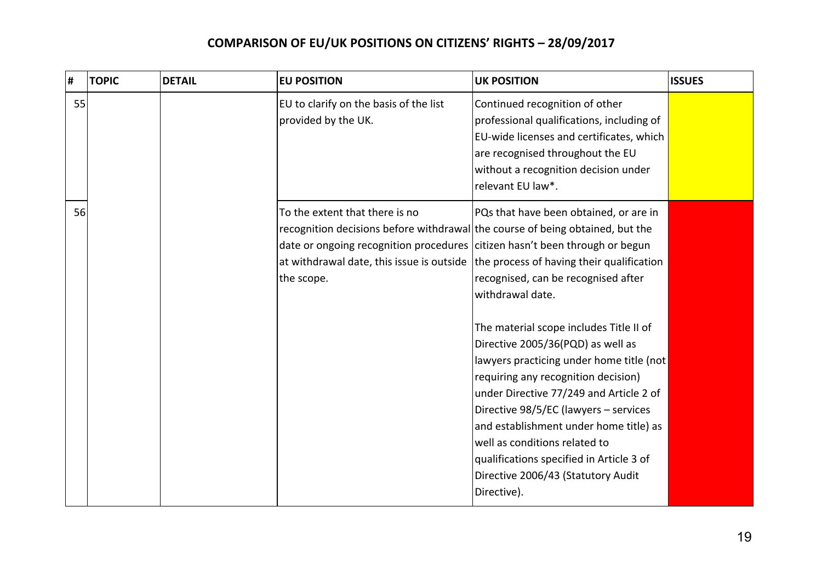| Ħ, | <b>TOPIC</b> | <b>DETAIL</b> | <b>EU POSITION</b>                                                                                                                                                                                           | <b>UK POSITION</b>                                                                                                                                                                                                                                                                                                                                                                                                                                                                                                                                                                                                          | <b>ISSUES</b> |
|----|--------------|---------------|--------------------------------------------------------------------------------------------------------------------------------------------------------------------------------------------------------------|-----------------------------------------------------------------------------------------------------------------------------------------------------------------------------------------------------------------------------------------------------------------------------------------------------------------------------------------------------------------------------------------------------------------------------------------------------------------------------------------------------------------------------------------------------------------------------------------------------------------------------|---------------|
| 55 |              |               | EU to clarify on the basis of the list<br>provided by the UK.                                                                                                                                                | Continued recognition of other<br>professional qualifications, including of<br>EU-wide licenses and certificates, which<br>are recognised throughout the EU<br>without a recognition decision under<br>relevant EU law*.                                                                                                                                                                                                                                                                                                                                                                                                    |               |
| 56 |              |               | To the extent that there is no<br>recognition decisions before withdrawal the course of being obtained, but the<br>date or ongoing recognition procedures citizen hasn't been through or begun<br>the scope. | PQs that have been obtained, or are in<br>at withdrawal date, this issue is outside the process of having their qualification<br>recognised, can be recognised after<br>withdrawal date.<br>The material scope includes Title II of<br>Directive 2005/36(PQD) as well as<br>lawyers practicing under home title (not<br>requiring any recognition decision)<br>under Directive 77/249 and Article 2 of<br>Directive 98/5/EC (lawyers - services<br>and establishment under home title) as<br>well as conditions related to<br>qualifications specified in Article 3 of<br>Directive 2006/43 (Statutory Audit<br>Directive). |               |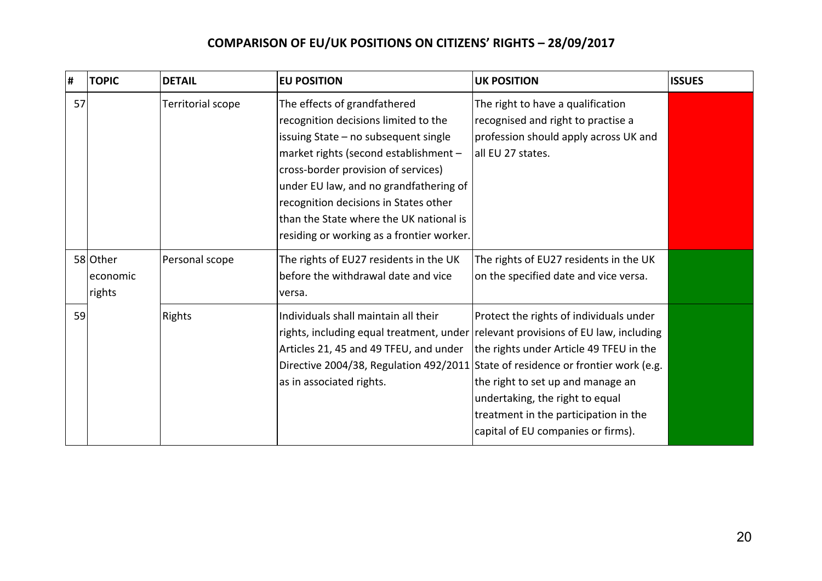| #  | <b>TOPIC</b>                   | <b>DETAIL</b>     | <b>EU POSITION</b>                                                                                                                                                                                                                                                                                                                                                      | <b>UK POSITION</b>                                                                                                                                                                                                                        | <b>ISSUES</b> |
|----|--------------------------------|-------------------|-------------------------------------------------------------------------------------------------------------------------------------------------------------------------------------------------------------------------------------------------------------------------------------------------------------------------------------------------------------------------|-------------------------------------------------------------------------------------------------------------------------------------------------------------------------------------------------------------------------------------------|---------------|
| 57 |                                | Territorial scope | The effects of grandfathered<br>recognition decisions limited to the<br>issuing State - no subsequent single<br>market rights (second establishment -<br>cross-border provision of services)<br>under EU law, and no grandfathering of<br>recognition decisions in States other<br>than the State where the UK national is<br>residing or working as a frontier worker. | The right to have a qualification<br>recognised and right to practise a<br>profession should apply across UK and<br>all EU 27 states.                                                                                                     |               |
|    | 58 Other<br>economic<br>rights | Personal scope    | The rights of EU27 residents in the UK<br>before the withdrawal date and vice<br>versa.                                                                                                                                                                                                                                                                                 | The rights of EU27 residents in the UK<br>on the specified date and vice versa.                                                                                                                                                           |               |
| 59 |                                | Rights            | Individuals shall maintain all their<br>rights, including equal treatment, under relevant provisions of EU law, including<br>Articles 21, 45 and 49 TFEU, and under<br>Directive 2004/38, Regulation 492/2011 State of residence or frontier work (e.g.<br>as in associated rights.                                                                                     | Protect the rights of individuals under<br>the rights under Article 49 TFEU in the<br>the right to set up and manage an<br>undertaking, the right to equal<br>treatment in the participation in the<br>capital of EU companies or firms). |               |